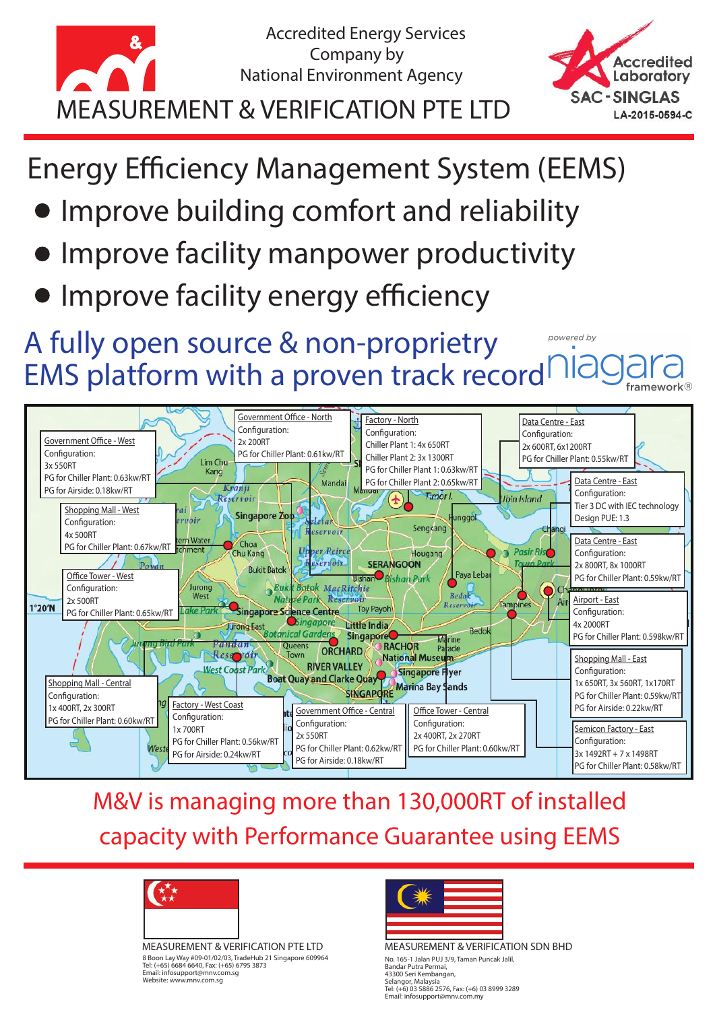

**Accredited** Laboratory **SAC-SINGLAS** LA-2015-0594-C

**Energy Efficiency Management System (EEMS)** 

- Improve building comfort and reliability
- Improve facility manpower productivity
- Improve facility energy efficiency

A fully open source & non-proprietry powered by EMS platform with a proven track record framework



#### M&V is managing more than 130,000RT of installed capacity with Performance Guarantee using EEMS



MEASUREMENT & VERIFICATION PTE LTD 8 Boon Lay Way #09-01/02/03, TradeHub 21 Singapore 609964 Tel: (+65) 6684 6640, Fax: (+65) 6795 3873 Email: infosupport@mnv.com.sg Website: www.mnv.com.sg



MEASUREMENT & VERIFICATION SDN BHD No. 165-1 Jalan PUJ 3/9, Taman Puncak Jalil, Bandar Putra Permai, 43300 Seri Kembangan, Selangor, Malaysia Tel: (+6) 03 5886 2576, Fax: (+6) 03 8999 3289 Email: infosupport@mnv.com.my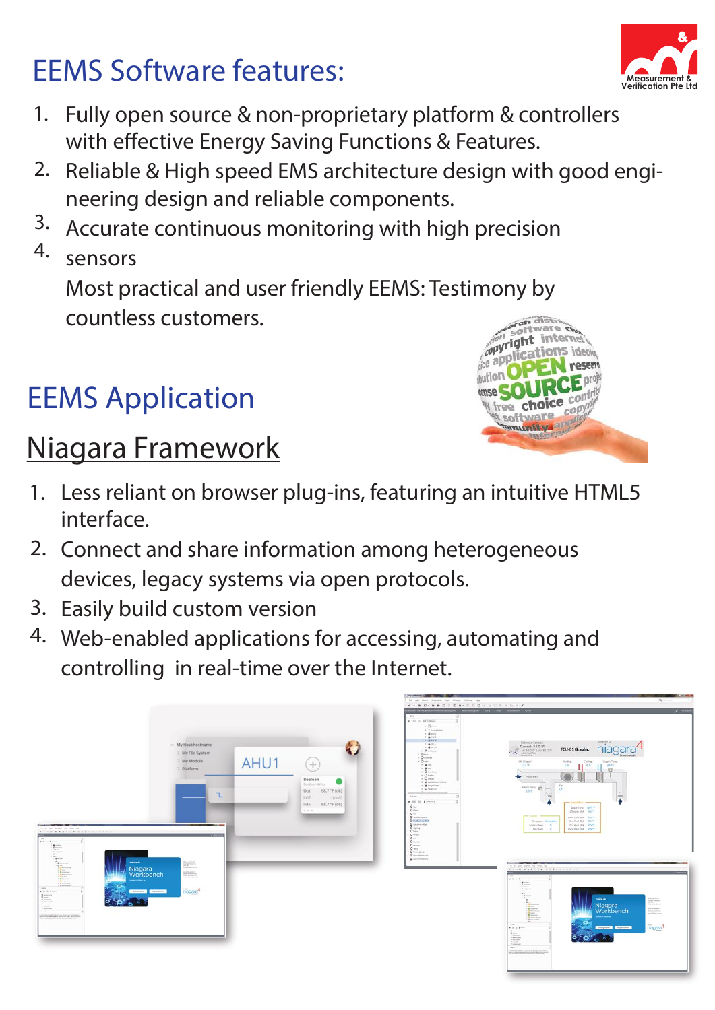# EEMS Software features:

- Fully open source & non-proprietary platform & controllers with effective Energy Saving Functions & Features. 1.
- 2. Reliable & High speed EMS architecture design with good engineering design and reliable components.
- Accurate continuous monitoring with high precision 3.
- sensors 4.

Most practical and user friendly EEMS: Testimony by countless customers.

# EEMS Application

## Niagara Framework

- Less reliant on browser plug-ins, featuring an intuitive HTML5 1. interface.
- 2. Connect and share information among heterogeneous devices, legacy systems via open protocols.
- 3. Easily build custom version
- 4. Web-enabled applications for accessing, automating and controlling in real-time over the Internet.

|                                                                                                                                                                                                                                                                                                                                                                                                                                                                                                                                                                                                                                                                                  | - My Host:hostname<br>> My File System<br>> My Module<br>> Platform                          | AHU1 | $(+)$                                                                                                               | In far born femoral last limits follow ran-<br>4 * * 8 C * B * C T S * * T 5 G * * T T X * * *<br>$+$ kps.<br>$M$ . $0$ . If the state of<br>$\sqrt{2}$<br>A. E. Longmond<br>$-1$ <b>m</b> PUL<br>$+ 4000$<br>$-1.4$ King<br>$-1.46 + 1.1$<br>$-2.46$ MoV<br>a Chinesen<br>$1.0$ Mm<br>t. O'contra<br>$-0 -$<br>11.606<br>$+ 2$<br>C . Ginestone<br>$+$ 0 mains                                                | $-2$<br><b>Zimm</b><br><b>SUMMERS CA</b><br>$\begin{array}{rcl} & & \mbox{Standard Forest} \\ & \mbox{Current 84.0 }\% \\ & \mbox{matrix 6.45.0 }\% \\ & \mbox{for $10.0$ }\% \\ & \mbox{for $10.0$ }\% \\ & \mbox{for $10.0$ }\end{array}$<br>FCU-01 Graphic<br>fromework.<br><b>HITSON</b><br>College)<br>liedling:<br>Soph Test<br>189.95<br>1.001<br>耳音<br>44, 15,<br><br><b>B</b> Rus Att I                                                                                                                                                                                                                                                                             |
|----------------------------------------------------------------------------------------------------------------------------------------------------------------------------------------------------------------------------------------------------------------------------------------------------------------------------------------------------------------------------------------------------------------------------------------------------------------------------------------------------------------------------------------------------------------------------------------------------------------------------------------------------------------------------------|----------------------------------------------------------------------------------------------|------|---------------------------------------------------------------------------------------------------------------------|----------------------------------------------------------------------------------------------------------------------------------------------------------------------------------------------------------------------------------------------------------------------------------------------------------------------------------------------------------------------------------------------------------------|------------------------------------------------------------------------------------------------------------------------------------------------------------------------------------------------------------------------------------------------------------------------------------------------------------------------------------------------------------------------------------------------------------------------------------------------------------------------------------------------------------------------------------------------------------------------------------------------------------------------------------------------------------------------------|
| Electronic and Control and Control and<br>the new land desired from three lang<br>$x + 0.0 - 0.80$ . C.C. B . C.C. D.C. U.C. U.C. V.C.<br>$x + 0 = 0$<br>THE THE STATE OF THE STATE OF THE STATE OF THE STATE OF THE STATE OF THE STATE OF THE STATE OF THE STATE OF THE STATE OF THE STATE OF THE STATE OF THE STATE OF THE STATE OF THE STATE OF THE STATE OF THE STATE OF THE STATE<br><b>TRICHARD</b><br>Niagara<br>Workbench<br>$\begin{tabular}{ c c } \hline $\cdots$ & $\cdots$ \\ \hline $\cdots$ & $\cdots$ \\ \hline $\cdots$ & $\cdots$ \\ \hline $\cdots$ & $\cdots$ \\ \hline \end{tabular}$<br><b>Extragalactic Companies</b><br>$\bullet$ $\bullet$<br>$\bullet$ | L<br><b>The State State Inc.</b><br>$\overline{ }$<br><b>ROBINSON</b><br>naggra <sup>4</sup> |      | Boolean<br><b>Boolean Writa</b><br>68.7 "F (ok)<br>Out<br>$\ln 10$<br>$-$ {null}<br>68.7 °F (ok)<br>ln16<br>$-0.01$ | . Cheese<br>$\rightarrow$ $\frac{1}{2}$ taxis in particularly<br>$\rightarrow$ 2 matrices.<br>$4.0$ February<br><b>LESSEN</b><br>+ Faletin<br><b>M H II &amp;-trees</b><br>$.0 -$<br>$\frac{1}{2}$ O $\frac{1}{2}$<br>1 Giovanni<br>1 Situate to print<br><b>G</b> ussiana<br>1-Diame<br>$1 - Q = 1$<br>$0 - 0$<br>VOIU<br>$1.0 - 0.$<br>$, 0 -$<br>$1.0$ mm.<br>$V$ O homing.<br>Groundscale<br><b>Gamman</b> | $.7 \mu m$<br>Area Setu (EL Control<br><b>COM</b><br><b>June</b><br><b>Zane</b><br>٠<br>Δ<br><b>START OF STRAIN</b><br>Sportland, M975<br>Uffedive Stat: 6.0 %<br><b>Chairman</b><br>macterizer, surv.<br>Occloud Spt 8.0 T<br><b>Graphing Hoscophed</b><br>DO NOTINE ROTE<br>Smithway Monday<br>12.67<br>tructurated E6%<br>Fat-Mode 5<br><b>EDUCATION CONTINUES IN A STATISTICS</b><br>In 24 per horse for true by<br>$\cdots$<br>$V = 16 - 16$<br>$\begin{array}{l} \text{non-zero 1, in } \pm 0 \\ \text{non-zero 2} \\ \text{non-zero 3} \\ \text{non-zero 4} \\ \text{non-zero 5} \\ \text{non-zero 6} \\ \text{non-zero 7} \end{array}$<br><b>TRICKLIN</b><br>Niagara |
| a based on a company of the property of the second conditions of the company of the second conditions of the company of the company of the company of the company of the company of the company of the company of the company                                                                                                                                                                                                                                                                                                                                                                                                                                                    |                                                                                              |      |                                                                                                                     |                                                                                                                                                                                                                                                                                                                                                                                                                | $\begin{tabular}{ c c } \hline $0.0179$ & $0.0011$ \\ \hline 0.0179$ & $0.0011$ \\ \hline 0.0179$ & $0.0011$ \\ \hline 0.0179$ & $0.0011$ \\ \hline \end{tabular}$<br>Workbench<br>nagara <sup>4</sup><br><b>SOLONE ENVIRONMENT</b><br>8.3624<br>E<br>$\bullet$<br>o<br>$\bullet$<br>beauty."<br>that the concentration is a concentration of the concentration of the concentration of the concentration of the concentration of the concentration of the concentration of the concentration of the concentration of the conce                                                                                                                                              |



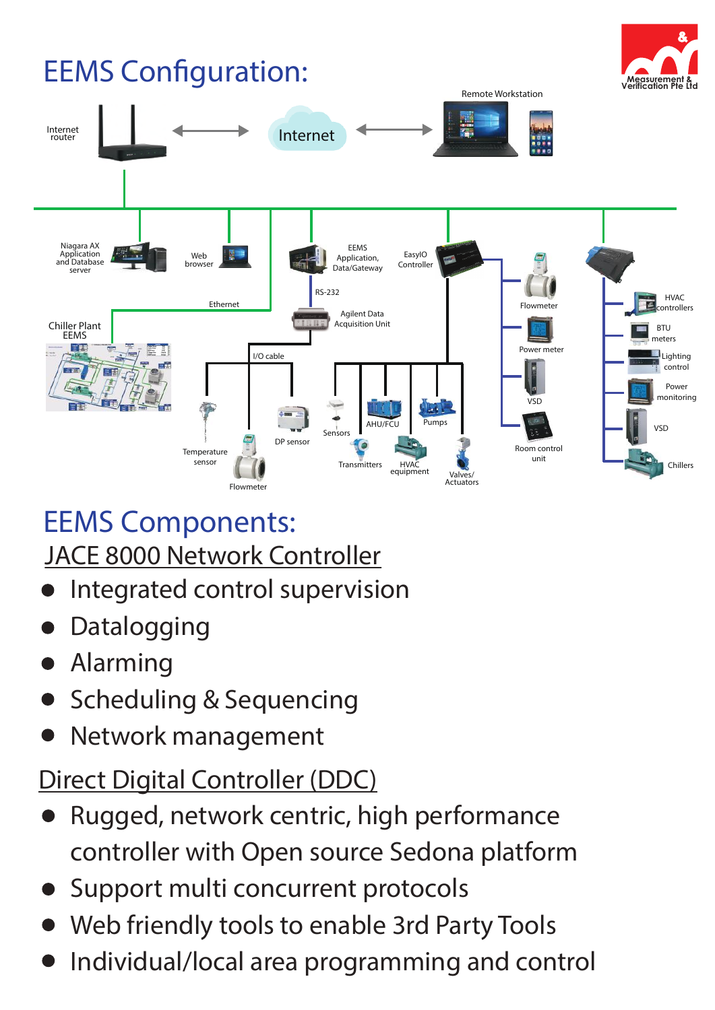## **EEMS Configuration:**





### EEMS Components:

#### JACE 8000 Network Controller

- Integrated control supervision
- Datalogging
- Alarming
- Scheduling & Sequencing
- Network management

#### Direct Digital Controller (DDC)

- Rugged, network centric, high performance controller with Open source Sedona platform
- Support multi concurrent protocols
- Web friendly tools to enable 3rd Party Tools
- Individual/local area programming and control